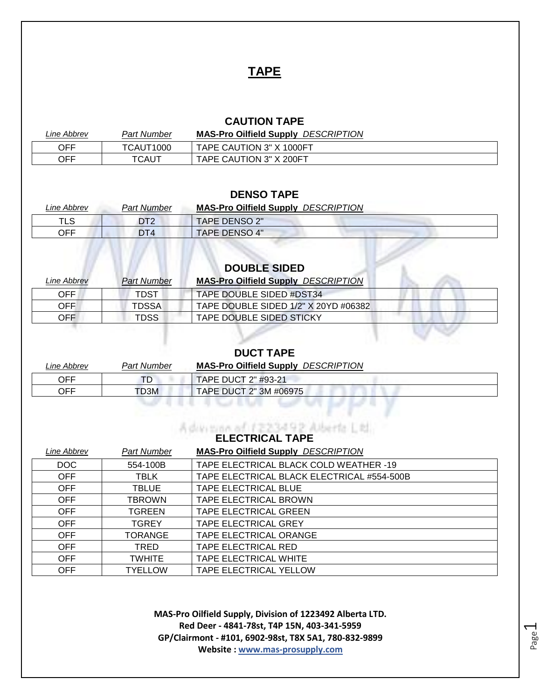## **TAPE**

#### **CAUTION TAPE**

| Line Abbrev | Part Number | <b>MAS-Pro Oilfield Supply DESCRIPTION</b> |
|-------------|-------------|--------------------------------------------|
| <b>OFF</b>  | TCAUT1000   | TAPE CAUTION 3" X 1000FT                   |
| <b>OFF</b>  | TCAUT       | TAPE CAUTION 3" X 200FT                    |

#### **DENSO TAPE**

| Line Abbrev | Part Number | <b>MAS-Pro Oilfield Supply DESCRIPTION</b> |
|-------------|-------------|--------------------------------------------|
| TLS         | DT2         | TAPE DENSO 2"                              |
| OFF         | DT4         | <b>TAPE DENSO 4"</b>                       |

# **DOUBLE SIDED**

| <i><b>Line Abbrev</b></i> | <b>Part Number</b> | <b>MAS-Pro Oilfield Supply DESCRIPTION</b> |  |
|---------------------------|--------------------|--------------------------------------------|--|
| OFF                       | TDST               | TAPE DOUBLE SIDED #DST34                   |  |
| OFF.                      | <b>TDSSA</b>       | TAPE DOUBLE SIDED 1/2" X 20YD #06382       |  |
| OFF.                      | <b>TDSS</b>        | TAPE DOUBLE SIDED STICKY                   |  |

#### **DUCT TAPE**

| Line Abbrev | Part Number | <b>MAS-Pro Oilfield Supply DESCRIPTION</b> |
|-------------|-------------|--------------------------------------------|
| OFF         | TD          | <b>TAPE DUCT 2" #93-21</b>                 |
| OFF         | TD3M        | TAPE DUCT 2" 3M #06975                     |
|             |             |                                            |

# **ELECTRICAL TAPE**

| Line Abbrev | Part Number    | <b>MAS-Pro Oilfield Supply DESCRIPTION</b> |
|-------------|----------------|--------------------------------------------|
| DOC         | 554-100B       | TAPE ELECTRICAL BLACK COLD WEATHER -19     |
| <b>OFF</b>  | TBLK           | TAPE ELECTRICAL BLACK ELECTRICAL #554-500B |
| OFF         | <b>TBLUE</b>   | <b>TAPE ELECTRICAL BLUE</b>                |
| <b>OFF</b>  | <b>TBROWN</b>  | TAPE ELECTRICAL BROWN                      |
| OFF         | <b>TGREEN</b>  | <b>TAPE ELECTRICAL GREEN</b>               |
| OFF         | <b>TGREY</b>   | TAPE ELECTRICAL GREY                       |
| <b>OFF</b>  | <b>TORANGE</b> | TAPE ELECTRICAL ORANGE                     |
| OFF.        | TRED           | TAPE ELECTRICAL RED                        |
| <b>OFF</b>  | <b>TWHITE</b>  | TAPE ELECTRICAL WHITE                      |
| <b>OFF</b>  | <b>TYELLOW</b> | TAPE ELECTRICAL YELLOW                     |

**MAS-Pro Oilfield Supply, Division of 1223492 Alberta LTD. Red Deer - 4841-78st, T4P 15N, 403-341-5959 GP/Clairmont - #101, 6902-98st, T8X 5A1, 780-832-9899 Website : www.mas-prosupply.com**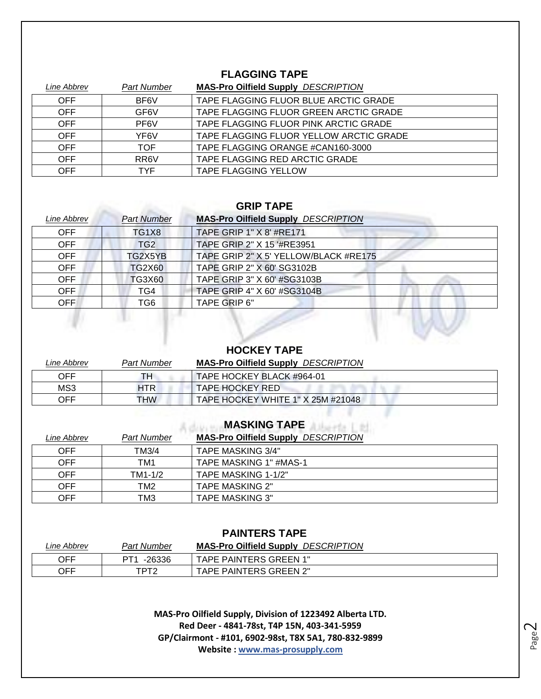#### **FLAGGING TAPE**

| Line Abbrev | <b>Part Number</b> | <b>MAS-Pro Oilfield Supply DESCRIPTION</b> |
|-------------|--------------------|--------------------------------------------|
| <b>OFF</b>  | BF6V               | TAPE FLAGGING FLUOR BLUE ARCTIC GRADE      |
| OFF         | GF <sub>6</sub> V  | TAPE FLAGGING FLUOR GREEN ARCTIC GRADE     |
| OFF.        | PF6V               | TAPE FLAGGING FLUOR PINK ARCTIC GRADE      |
| OFF         | YF6V               | TAPE FLAGGING FLUOR YELLOW ARCTIC GRADE    |
| <b>OFF</b>  | TOF                | TAPE FLAGGING ORANGE #CAN160-3000          |
| OFF.        | RR <sub>6</sub> V  | TAPE FLAGGING RED ARCTIC GRADE             |
| <b>OFF</b>  | TYF                | <b>TAPE FLAGGING YELLOW</b>                |

#### **GRIP TAPE**

| Line Abbrev | <b>Part Number</b> | <b>MAS-Pro Oilfield Supply DESCRIPTION</b> |
|-------------|--------------------|--------------------------------------------|
| OFF         | TG1X8              | TAPE GRIP 1" X 8' #RE171                   |
| OFF.        | TG <sub>2</sub>    | TAPE GRIP 2" X 15 '#RE3951                 |
| <b>OFF</b>  | TG2X5YB            | TAPE GRIP 2" X 5' YELLOW/BLACK #RE175      |
| <b>OFF</b>  | <b>TG2X60</b>      | TAPE GRIP 2" X 60' SG3102B                 |
| OFF         | TG3X60             | TAPE GRIP 3" X 60' #SG3103B                |
| OFF.        | TG4                | TAPE GRIP 4" X 60' #SG3104B                |
| <b>OFF</b>  | TG6                | <b>TAPE GRIP 6"</b>                        |

#### **HOCKEY TAPE**

1997 -

W.

| <i>Line Abbrev</i> | Part Number | <b>MAS-Pro Oilfield Supply DESCRIPTION</b> |
|--------------------|-------------|--------------------------------------------|
| OFF                | TH          | TAPE HOCKEY BLACK #964-01                  |
| MS3                | HTR.        | TAPE HOCKEY RED                            |
| OFF                | <b>THW</b>  | TAPE HOCKEY WHITE 1" X 25M #21048          |

#### and the district **MASKING TAPE**

| Line Abbrev | <b>Part Number</b> | <b>MAS-Pro Oilfield Supply DESCRIPTION</b> |
|-------------|--------------------|--------------------------------------------|
| OFF.        | TM3/4              | TAPE MASKING 3/4"                          |
| OFF.        | TM1                | TAPE MASKING 1" #MAS-1                     |
| OFF.        | TM1-1/2            | TAPE MASKING 1-1/2"                        |
| <b>OFF</b>  | TM2                | <b>TAPE MASKING 2"</b>                     |
| OFF         | тмз                | <b>TAPE MASKING 3"</b>                     |

#### **PAINTERS TAPE**

| Line Abbrev | Part Number    | <b>DESCRIPTION</b><br><b>MAS-Pro Oilfield Supply</b> |
|-------------|----------------|------------------------------------------------------|
| <b>OFF</b>  | $-26336$<br>דם | TAPE PAINTERS GREEN 1"                               |
| <b>OFF</b>  | מדםד           | TAPE PAINTERS GREEN 2"                               |

**MAS-Pro Oilfield Supply, Division of 1223492 Alberta LTD. Red Deer - 4841-78st, T4P 15N, 403-341-5959 GP/Clairmont - #101, 6902-98st, T8X 5A1, 780-832-9899 Website : www.mas-prosupply.com**

Page  $\mathrel{\sim}$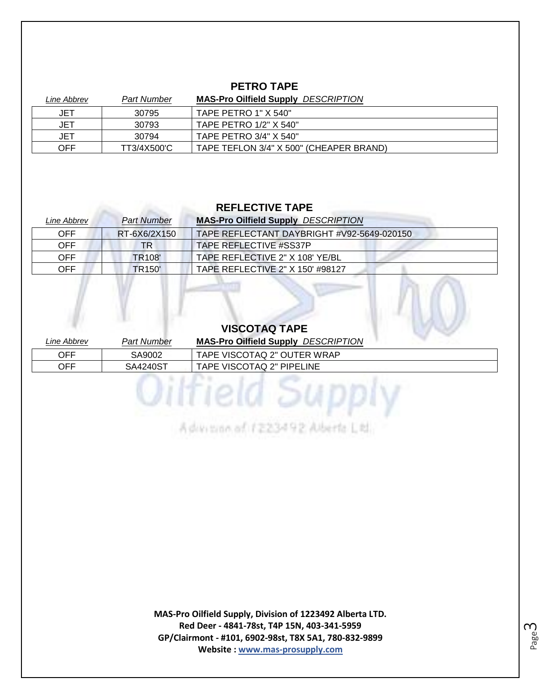#### **PETRO TAPE**

| <i>Line Abbrev</i> | <b>Part Number</b> | <b>MAS-Pro Oilfield Supply DESCRIPTION</b> |
|--------------------|--------------------|--------------------------------------------|
| JET                | 30795              | TAPE PETRO 1" X 540"                       |
| JET                | 30793              | TAPE PETRO 1/2" X 540"                     |
| JET                | 30794              | TAPE PETRO 3/4" X 540"                     |
| <b>OFF</b>         | TT3/4X500'C        | TAPE TEFLON 3/4" X 500" (CHEAPER BRAND)    |

#### **REFLECTIVE TAPE**

| Line Abbrev | <b>Part Number</b>      | <b>MAS-Pro Oilfield Supply DESCRIPTION</b> |
|-------------|-------------------------|--------------------------------------------|
| <b>OFF</b>  | RT-6X6/2X150            | TAPE REFLECTANT DAYBRIGHT #V92-5649-020150 |
| OFF.        | TR                      | TAPE REFLECTIVE #SS37P                     |
| OFF.        | TR <sub>108</sub>       | TAPE REFLECTIVE 2" X 108' YE/BL            |
| OFF.        | <b>TR<sub>150</sub></b> | TAPE REFLECTIVE 2" X 150' #98127           |

### **VISCOTAQ TAPE**

| Line Abbrev | <b>Part Number</b> | <b>MAS-Pro Oilfield Supply DESCRIPTION</b> |
|-------------|--------------------|--------------------------------------------|
| <b>OFF</b>  | SA9002             | TAPE VISCOTAQ 2" OUTER WRAP                |
| <b>OFF</b>  | SA4240ST           | TAPE VISCOTAQ 2" PIPELINE                  |

Advision of 1223492 Alberta Ltd.

**MAS-Pro Oilfield Supply, Division of 1223492 Alberta LTD. Red Deer - 4841-78st, T4P 15N, 403-341-5959 GP/Clairmont - #101, 6902-98st, T8X 5A1, 780-832-9899 Website : www.mas-prosupply.com**